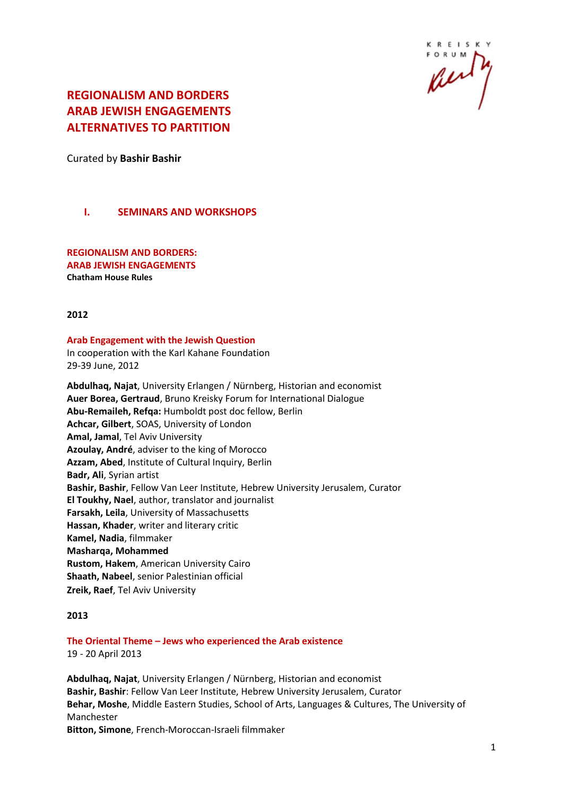

# **REGIONALISM AND BORDERS ARAB JEWISH ENGAGEMENTS ALTERNATIVES TO PARTITION**

Curated by **Bashir Bashir**

# **I. SEMINARS AND WORKSHOPS**

**REGIONALISM AND BORDERS: ARAB JEWISH ENGAGEMENTS Chatham House Rules**

#### **2012**

#### **Arab Engagement with the Jewish Question** In cooperation with the Karl Kahane Foundation 29-39 June, 2012

**Abdulhaq, Najat**, University Erlangen / Nürnberg, Historian and economist **Auer Borea, Gertraud**, Bruno Kreisky Forum for International Dialogue **Abu-Remaileh, Refqa:** Humboldt post doc fellow, Berlin **Achcar, Gilbert**, SOAS, University of London **Amal, Jamal**, Tel Aviv University **Azoulay, André**, adviser to the king of Morocco **Azzam, Abed**, Institute of Cultural Inquiry, Berlin **Badr, Ali**, Syrian artist **Bashir, Bashir**, Fellow Van Leer Institute, Hebrew University Jerusalem, Curator **El Toukhy, Nael**, author, translator and journalist **Farsakh, Leila**, University of Massachusetts **Hassan, Khader**, writer and literary critic **Kamel, Nadia**, filmmaker **Masharqa, Mohammed Rustom, Hakem**, American University Cairo **Shaath, Nabeel**, senior Palestinian official **Zreik, Raef**, Tel Aviv University

#### **2013**

**The Oriental Theme – Jews who experienced the Arab existence** 19 - 20 April 2013

**Abdulhaq, Najat**, University Erlangen / Nürnberg, Historian and economist **Bashir, Bashir**: Fellow Van Leer Institute, Hebrew University Jerusalem, Curator **Behar, Moshe**, Middle Eastern Studies, School of Arts, Languages & Cultures, The University of Manchester **Bitton, Simone**, French-Moroccan-Israeli filmmaker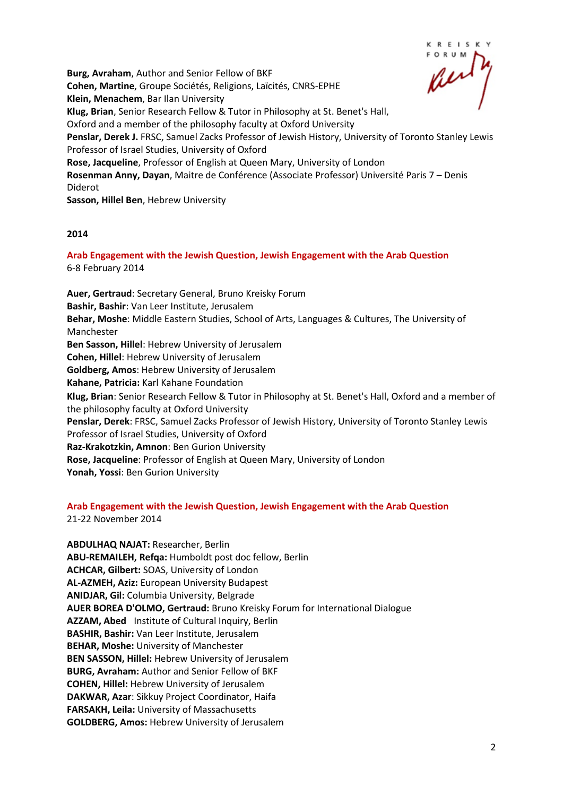KREISK

**Burg, Avraham**, Author and Senior Fellow of BKF **Cohen, Martine**, Groupe Sociétés, Religions, Laïcités, CNRS-EPHE **Klein, Menachem**, Bar Ilan University **Klug, Brian**, Senior Research Fellow & Tutor in Philosophy at St. Benet's Hall, Oxford and a member of the philosophy faculty at Oxford University **Penslar, Derek J.** FRSC, Samuel Zacks Professor of Jewish History, University of Toronto Stanley Lewis Professor of Israel Studies, University of Oxford **Rose, Jacqueline**, Professor of English at Queen Mary, University of London **Rosenman Anny, Dayan**, Maitre de Conférence (Associate Professor) Université Paris 7 – Denis Diderot **Sasson, Hillel Ben**, Hebrew University

#### **2014**

**Arab Engagement with the Jewish Question, Jewish Engagement with the Arab Question**  6-8 February 2014

**Auer, Gertraud**: Secretary General, Bruno Kreisky Forum **Bashir, Bashir**: Van Leer Institute, Jerusalem **Behar, Moshe**: Middle Eastern Studies, School of Arts, Languages & Cultures, The University of Manchester **Ben Sasson, Hillel**: Hebrew University of Jerusalem **Cohen, Hillel**: Hebrew University of Jerusalem **Goldberg, Amos**: Hebrew University of Jerusalem **Kahane, Patricia:** Karl Kahane Foundation **Klug, Brian**: Senior Research Fellow & Tutor in Philosophy at St. Benet's Hall, Oxford and a member of the philosophy faculty at Oxford University **Penslar, Derek**: FRSC, Samuel Zacks Professor of Jewish History, University of Toronto Stanley Lewis Professor of Israel Studies, University of Oxford **Raz-Krakotzkin, Amnon**: Ben Gurion University **Rose, Jacqueline**: Professor of English at Queen Mary, University of London **Yonah, Yossi**: Ben Gurion University

#### **Arab Engagement with the Jewish Question, Jewish Engagement with the Arab Question**  21-22 November 2014

**ABDULHAQ NAJAT:** Researcher, Berlin **ABU-REMAILEH, Refqa:** Humboldt post doc fellow, Berlin **ACHCAR, Gilbert:** SOAS, University of London **AL-AZMEH, Aziz:** European University Budapest **ANIDJAR, Gil:** Columbia University, Belgrade **AUER BOREA D'OLMO, Gertraud:** Bruno Kreisky Forum for International Dialogue **AZZAM, Abed** Institute of Cultural Inquiry, Berlin **BASHIR, Bashir:** Van Leer Institute, Jerusalem **BEHAR, Moshe:** University of Manchester **BEN SASSON, Hillel:** Hebrew University of Jerusalem **BURG, Avraham:** Author and Senior Fellow of BKF **COHEN, Hillel:** Hebrew University of Jerusalem **DAKWAR, Azar**: Sikkuy Project Coordinator, Haifa **FARSAKH, Leila:** University of Massachusetts **GOLDBERG, Amos:** Hebrew University of Jerusalem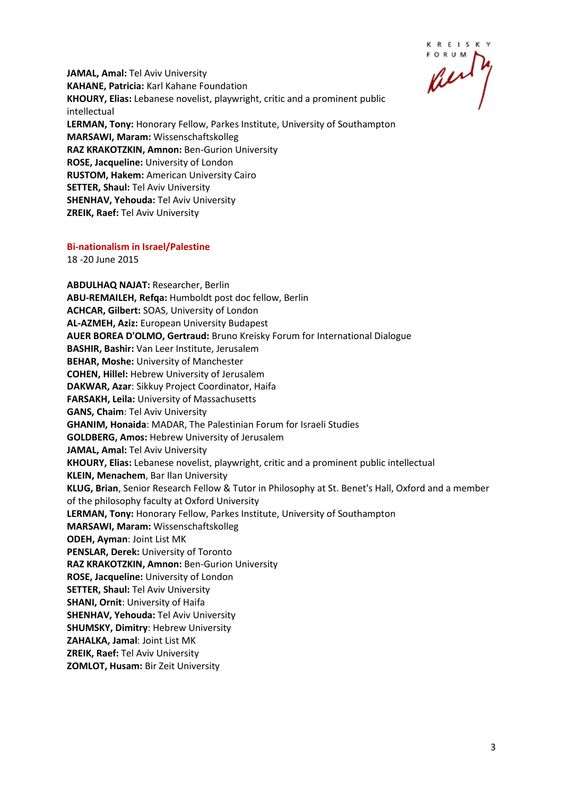KREISKY

**JAMAL, Amal:** Tel Aviv University **KAHANE, Patricia:** Karl Kahane Foundation **KHOURY, Elias:** Lebanese novelist, playwright, critic and a prominent public intellectual **LERMAN, Tony:** Honorary Fellow, Parkes Institute, University of Southampton **MARSAWI, Maram:** Wissenschaftskolleg **RAZ KRAKOTZKIN, Amnon:** Ben-Gurion University **ROSE, Jacqueline:** University of London **RUSTOM, Hakem:** American University Cairo **SETTER, Shaul:** Tel Aviv University **SHENHAV, Yehouda:** Tel Aviv University **ZREIK, Raef:** Tel Aviv University

#### **Bi-nationalism in Israel/Palestine**

18 -20 June 2015

**ABDULHAQ NAJAT:** Researcher, Berlin **ABU-REMAILEH, Refqa:** Humboldt post doc fellow, Berlin **ACHCAR, Gilbert:** SOAS, University of London **AL-AZMEH, Aziz:** European University Budapest **AUER BOREA D'OLMO, Gertraud:** Bruno Kreisky Forum for International Dialogue **BASHIR, Bashir:** Van Leer Institute, Jerusalem **BEHAR, Moshe:** University of Manchester **COHEN, Hillel:** Hebrew University of Jerusalem **DAKWAR, Azar**: Sikkuy Project Coordinator, Haifa **FARSAKH, Leila:** University of Massachusetts **GANS, Chaim**: Tel Aviv University **GHANIM, Honaida**: MADAR, The Palestinian Forum for Israeli Studies **GOLDBERG, Amos:** Hebrew University of Jerusalem **JAMAL, Amal:** Tel Aviv University **KHOURY, Elias:** Lebanese novelist, playwright, critic and a prominent public intellectual **KLEIN, Menachem**, Bar Ilan University **KLUG, Brian**, Senior Research Fellow & Tutor in Philosophy at St. Benet's Hall, Oxford and a member of the philosophy faculty at Oxford University **LERMAN, Tony:** Honorary Fellow, Parkes Institute, University of Southampton **MARSAWI, Maram:** Wissenschaftskolleg **ODEH, Ayman**: Joint List MK **PENSLAR, Derek:** University of Toronto **RAZ KRAKOTZKIN, Amnon:** Ben-Gurion University **ROSE, Jacqueline:** University of London **SETTER, Shaul:** Tel Aviv University **SHANI, Ornit**: University of Haifa **SHENHAV, Yehouda:** Tel Aviv University **SHUMSKY, Dimitry**: Hebrew University **ZAHALKA, Jamal**: Joint List MK **ZREIK, Raef:** Tel Aviv University **ZOMLOT, Husam:** Bir Zeit University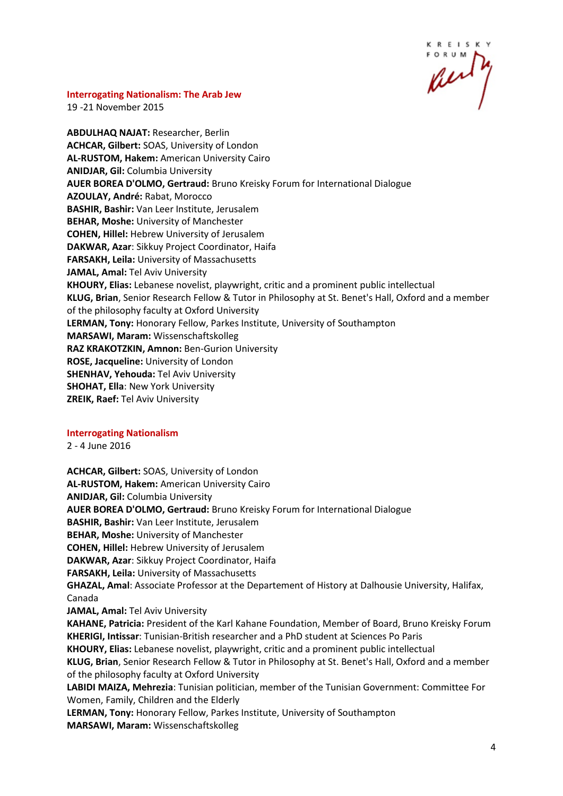R E I S K

#### **Interrogating Nationalism: The Arab Jew**

19 -21 November 2015

**ABDULHAQ NAJAT:** Researcher, Berlin **ACHCAR, Gilbert:** SOAS, University of London **AL-RUSTOM, Hakem:** American University Cairo **ANIDJAR, Gil:** Columbia University **AUER BOREA D'OLMO, Gertraud:** Bruno Kreisky Forum for International Dialogue **AZOULAY, André:** Rabat, Morocco **BASHIR, Bashir:** Van Leer Institute, Jerusalem **BEHAR, Moshe:** University of Manchester **COHEN, Hillel:** Hebrew University of Jerusalem **DAKWAR, Azar**: Sikkuy Project Coordinator, Haifa **FARSAKH, Leila:** University of Massachusetts **JAMAL, Amal:** Tel Aviv University **KHOURY, Elias:** Lebanese novelist, playwright, critic and a prominent public intellectual **KLUG, Brian**, Senior Research Fellow & Tutor in Philosophy at St. Benet's Hall, Oxford and a member of the philosophy faculty at Oxford University **LERMAN, Tony:** Honorary Fellow, Parkes Institute, University of Southampton **MARSAWI, Maram:** Wissenschaftskolleg **RAZ KRAKOTZKIN, Amnon:** Ben-Gurion University **ROSE, Jacqueline:** University of London **SHENHAV, Yehouda:** Tel Aviv University **SHOHAT, Ella**: New York University **ZREIK, Raef:** Tel Aviv University

#### **Interrogating Nationalism**

2 - 4 June 2016

**ACHCAR, Gilbert:** SOAS, University of London **AL-RUSTOM, Hakem:** American University Cairo **ANIDJAR, Gil:** Columbia University **AUER BOREA D'OLMO, Gertraud:** Bruno Kreisky Forum for International Dialogue **BASHIR, Bashir:** Van Leer Institute, Jerusalem **BEHAR, Moshe:** University of Manchester **COHEN, Hillel:** Hebrew University of Jerusalem **DAKWAR, Azar**: Sikkuy Project Coordinator, Haifa **FARSAKH, Leila:** University of Massachusetts **GHAZAL, Amal**: Associate Professor at the Departement of History at Dalhousie University, Halifax, Canada **JAMAL, Amal:** Tel Aviv University **KAHANE, Patricia:** President of the Karl Kahane Foundation, Member of Board, Bruno Kreisky Forum **KHERIGI, Intissar**: Tunisian-British researcher and a PhD student at Sciences Po Paris **KHOURY, Elias:** Lebanese novelist, playwright, critic and a prominent public intellectual **KLUG, Brian**, Senior Research Fellow & Tutor in Philosophy at St. Benet's Hall, Oxford and a member of the philosophy faculty at Oxford University **LABIDI MAIZA, Mehrezia**: Tunisian politician, member of the Tunisian Government: Committee For Women, Family, Children and the Elderly **LERMAN, Tony:** Honorary Fellow, Parkes Institute, University of Southampton **MARSAWI, Maram:** Wissenschaftskolleg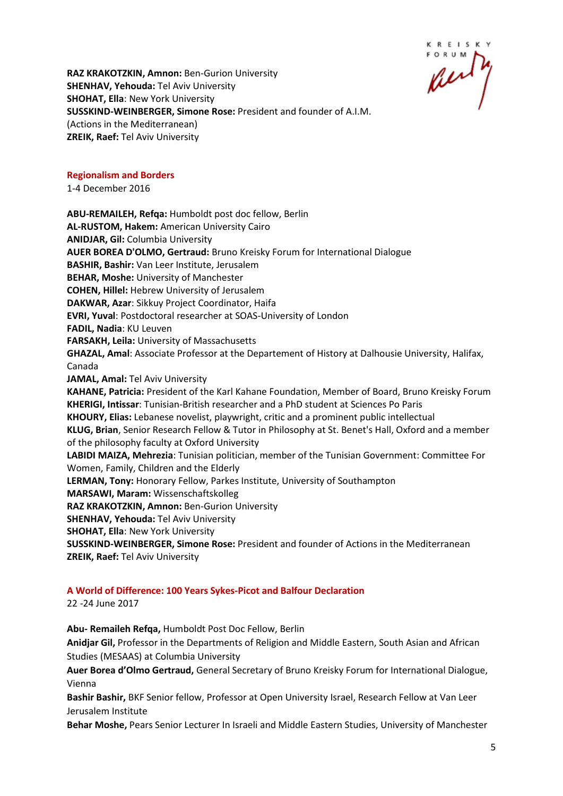KREISK

**RAZ KRAKOTZKIN, Amnon:** Ben-Gurion University **SHENHAV, Yehouda:** Tel Aviv University **SHOHAT, Ella**: New York University **SUSSKIND-WEINBERGER, Simone Rose:** President and founder of A.I.M. (Actions in the Mediterranean) **ZREIK, Raef:** Tel Aviv University

#### **Regionalism and Borders**

1-4 December 2016

**ABU-REMAILEH, Refqa:** Humboldt post doc fellow, Berlin **AL-RUSTOM, Hakem:** American University Cairo **ANIDJAR, Gil:** Columbia University **AUER BOREA D'OLMO, Gertraud:** Bruno Kreisky Forum for International Dialogue **BASHIR, Bashir:** Van Leer Institute, Jerusalem **BEHAR, Moshe:** University of Manchester **COHEN, Hillel:** Hebrew University of Jerusalem **DAKWAR, Azar**: Sikkuy Project Coordinator, Haifa **EVRI, Yuval**: Postdoctoral researcher at SOAS-University of London **FADIL, Nadia**: KU Leuven **FARSAKH, Leila:** University of Massachusetts **GHAZAL, Amal**: Associate Professor at the Departement of History at Dalhousie University, Halifax, Canada **JAMAL, Amal:** Tel Aviv University **KAHANE, Patricia:** President of the Karl Kahane Foundation, Member of Board, Bruno Kreisky Forum **KHERIGI, Intissar**: Tunisian-British researcher and a PhD student at Sciences Po Paris **KHOURY, Elias:** Lebanese novelist, playwright, critic and a prominent public intellectual **KLUG, Brian**, Senior Research Fellow & Tutor in Philosophy at St. Benet's Hall, Oxford and a member of the philosophy faculty at Oxford University **LABIDI MAIZA, Mehrezia**: Tunisian politician, member of the Tunisian Government: Committee For Women, Family, Children and the Elderly **LERMAN, Tony:** Honorary Fellow, Parkes Institute, University of Southampton **MARSAWI, Maram:** Wissenschaftskolleg **RAZ KRAKOTZKIN, Amnon:** Ben-Gurion University **SHENHAV, Yehouda:** Tel Aviv University **SHOHAT, Ella**: New York University **SUSSKIND-WEINBERGER, Simone Rose:** President and founder of Actions in the Mediterranean **ZREIK, Raef:** Tel Aviv University

# **A World of Difference: 100 Years Sykes-Picot and Balfour Declaration**

22 -24 June 2017

**Abu- Remaileh Refqa,** Humboldt Post Doc Fellow, Berlin **Anidjar Gil,** Professor in the Departments of Religion and Middle Eastern, South Asian and African Studies (MESAAS) at Columbia University **Auer Borea d'Olmo Gertraud,** General Secretary of Bruno Kreisky Forum for International Dialogue, Vienna **Bashir Bashir,** BKF Senior fellow, Professor at Open University Israel, Research Fellow at Van Leer Jerusalem Institute

**Behar Moshe,** Pears Senior Lecturer In Israeli and Middle Eastern Studies, University of Manchester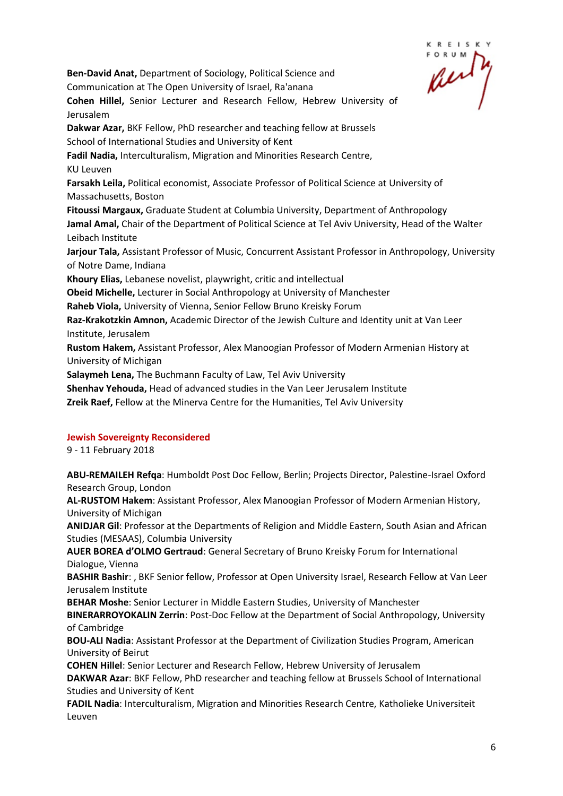**Ben-David Anat,** Department of Sociology, Political Science and Communication at The Open University of Israel, Ra'anana **Cohen Hillel,** Senior Lecturer and Research Fellow, Hebrew University of Jerusalem **Dakwar Azar,** BKF Fellow, PhD researcher and teaching fellow at Brussels School of International Studies and University of Kent **Fadil Nadia,** Interculturalism, Migration and Minorities Research Centre, KU Leuven **Farsakh Leila,** Political economist, Associate Professor of Political Science at University of Massachusetts, Boston **Fitoussi Margaux,** Graduate Student at Columbia University, Department of Anthropology **Jamal Amal,** Chair of the Department of Political Science at Tel Aviv University, Head of the Walter Leibach Institute **Jarjour Tala,** Assistant Professor of Music, Concurrent Assistant Professor in Anthropology, University of Notre Dame, Indiana **Khoury Elias,** Lebanese novelist, playwright, critic and intellectual **Obeid Michelle,** Lecturer in Social Anthropology at University of Manchester **Raheb Viola,** University of Vienna, Senior Fellow Bruno Kreisky Forum **Raz-Krakotzkin Amnon,** Academic Director of the Jewish Culture and Identity unit at Van Leer Institute, Jerusalem **Rustom Hakem,** Assistant Professor, Alex Manoogian Professor of Modern Armenian History at University of Michigan

**Salaymeh Lena,** The Buchmann Faculty of Law, Tel Aviv University

**Shenhav Yehouda,** Head of advanced studies in the Van Leer Jerusalem Institute

**Zreik Raef,** Fellow at the Minerva Centre for the Humanities, Tel Aviv University

#### **Jewish Sovereignty Reconsidered**

9 - 11 February 2018

**ABU-REMAILEH Refqa**: Humboldt Post Doc Fellow, Berlin; Projects Director, Palestine-Israel Oxford Research Group, London

**AL-RUSTOM Hakem**: Assistant Professor, Alex Manoogian Professor of Modern Armenian History, University of Michigan

**ANIDJAR Gil**: Professor at the Departments of Religion and Middle Eastern, South Asian and African Studies (MESAAS), Columbia University

**AUER BOREA d'OLMO Gertraud**: General Secretary of Bruno Kreisky Forum for International Dialogue, Vienna

**BASHIR Bashir**: , BKF Senior fellow, Professor at Open University Israel, Research Fellow at Van Leer Jerusalem Institute

**BEHAR Moshe**: Senior Lecturer in Middle Eastern Studies, University of Manchester

**BINERARROYOKALIN Zerrin**: Post-Doc Fellow at the Department of Social Anthropology, University of Cambridge

**BOU-ALI Nadia**: Assistant Professor at the Department of Civilization Studies Program, American University of Beirut

**COHEN Hillel**: Senior Lecturer and Research Fellow, Hebrew University of Jerusalem

**DAKWAR Azar**: BKF Fellow, PhD researcher and teaching fellow at Brussels School of International Studies and University of Kent

**FADIL Nadia**: Interculturalism, Migration and Minorities Research Centre, Katholieke Universiteit Leuven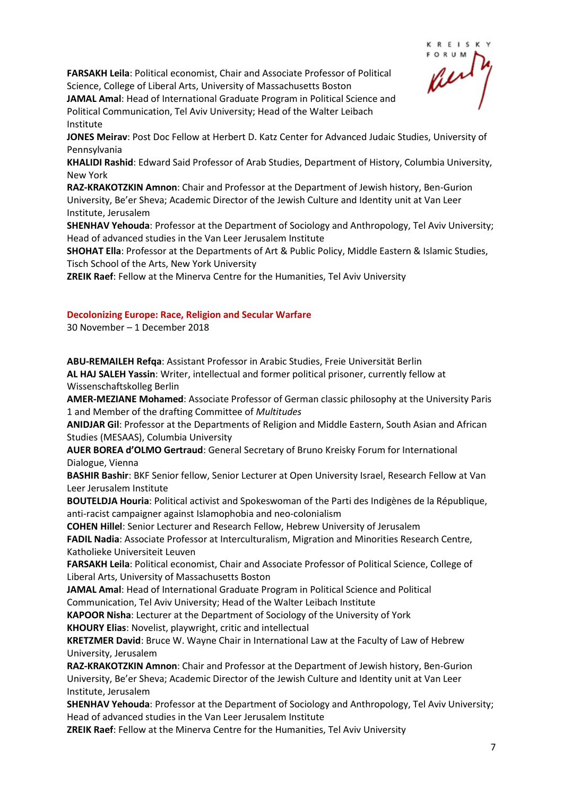**FARSAKH Leila**: Political economist, Chair and Associate Professor of Political Science, College of Liberal Arts, University of Massachusetts Boston



**JAMAL Amal**: Head of International Graduate Program in Political Science and Political Communication, Tel Aviv University; Head of the Walter Leibach Institute

**JONES Meirav**: Post Doc Fellow at Herbert D. Katz Center for Advanced Judaic Studies, University of Pennsylvania

**KHALIDI Rashid**: Edward Said Professor of Arab Studies, Department of History, Columbia University, New York

**RAZ-KRAKOTZKIN Amnon**: Chair and Professor at the Department of Jewish history, Ben-Gurion University, Be'er Sheva; Academic Director of the Jewish Culture and Identity unit at Van Leer Institute, Jerusalem

**SHENHAV Yehouda**: Professor at the Department of Sociology and Anthropology, Tel Aviv University; Head of advanced studies in the Van Leer Jerusalem Institute

**SHOHAT Ella**: Professor at the Departments of Art & Public Policy, Middle Eastern & Islamic Studies, Tisch School of the Arts, New York University

**ZREIK Raef**: Fellow at the Minerva Centre for the Humanities, Tel Aviv University

#### **Decolonizing Europe: Race, Religion and Secular Warfare**

30 November – 1 December 2018

**ABU-REMAILEH Refqa**: Assistant Professor in Arabic Studies, Freie Universität Berlin **AL HAJ SALEH Yassin**: Writer, intellectual and former political prisoner, currently fellow at Wissenschaftskolleg Berlin

**AMER-MEZIANE Mohamed**: Associate Professor of German classic philosophy at the University Paris 1 and Member of the drafting Committee of *Multitudes*

**ANIDJAR Gil**: Professor at the Departments of Religion and Middle Eastern, South Asian and African Studies (MESAAS), Columbia University

**AUER BOREA d'OLMO Gertraud**: General Secretary of Bruno Kreisky Forum for International Dialogue, Vienna

**BASHIR Bashir**: BKF Senior fellow, Senior Lecturer at Open University Israel, Research Fellow at Van Leer Jerusalem Institute

**BOUTELDJA Houria**: Political activist and Spokeswoman of the Parti des Indigènes de la République, anti-racist campaigner against Islamophobia and neo-colonialism

**COHEN Hillel**: Senior Lecturer and Research Fellow, Hebrew University of Jerusalem

**FADIL Nadia**: Associate Professor at Interculturalism, Migration and Minorities Research Centre, Katholieke Universiteit Leuven

**FARSAKH Leila**: Political economist, Chair and Associate Professor of Political Science, College of Liberal Arts, University of Massachusetts Boston

**JAMAL Amal**: Head of International Graduate Program in Political Science and Political

Communication, Tel Aviv University; Head of the Walter Leibach Institute

**KAPOOR Nisha**: Lecturer at the Department of Sociology of the University of York

**KHOURY Elias**: Novelist, playwright, critic and intellectual

**KRETZMER David**: Bruce W. Wayne Chair in International Law at the Faculty of Law of Hebrew University, Jerusalem

**RAZ-KRAKOTZKIN Amnon**: Chair and Professor at the Department of Jewish history, Ben-Gurion University, Be'er Sheva; Academic Director of the Jewish Culture and Identity unit at Van Leer Institute, Jerusalem

**SHENHAV Yehouda**: Professor at the Department of Sociology and Anthropology, Tel Aviv University; Head of advanced studies in the Van Leer Jerusalem Institute

**ZREIK Raef**: Fellow at the Minerva Centre for the Humanities, Tel Aviv University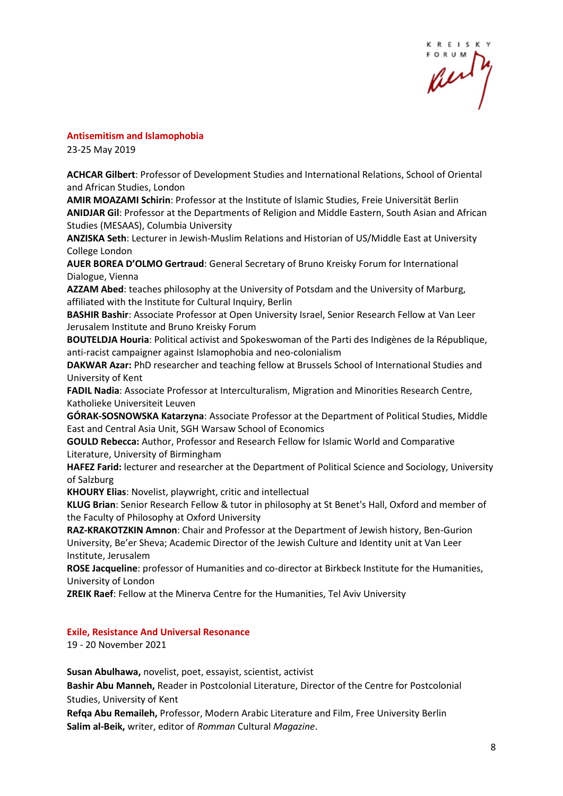

#### **Antisemitism and Islamophobia**

23-25 May 2019

**ACHCAR Gilbert**: Professor of Development Studies and International Relations, School of Oriental and African Studies, London

**AMIR MOAZAMI Schirin**: Professor at the Institute of Islamic Studies, Freie Universität Berlin **ANIDJAR Gil**: Professor at the Departments of Religion and Middle Eastern, South Asian and African Studies (MESAAS), Columbia University

**ANZISKA Seth**: Lecturer in Jewish-Muslim Relations and Historian of US/Middle East at University College London

**AUER BOREA D'OLMO Gertraud**: General Secretary of Bruno Kreisky Forum for International Dialogue, Vienna

**AZZAM Abed**: teaches philosophy at the University of Potsdam and the University of Marburg, affiliated with the Institute for Cultural Inquiry, Berlin

**BASHIR Bashir**: Associate Professor at Open University Israel, Senior Research Fellow at Van Leer Jerusalem Institute and Bruno Kreisky Forum

**BOUTELDJA Houria**: Political activist and Spokeswoman of the Parti des Indigènes de la République, anti-racist campaigner against Islamophobia and neo-colonialism

**DAKWAR Azar:** PhD researcher and teaching fellow at Brussels School of International Studies and University of Kent

**FADIL Nadia**: Associate Professor at Interculturalism, Migration and Minorities Research Centre, Katholieke Universiteit Leuven

**GÓRAK-SOSNOWSKA Katarzyna**: Associate Professor at the Department of Political Studies, Middle East and Central Asia Unit, SGH Warsaw School of Economics

**GOULD Rebecca:** Author, Professor and Research Fellow for Islamic World and Comparative Literature, University of Birmingham

**HAFEZ Farid:** lecturer and researcher at the Department of Political Science and Sociology, University of Salzburg

**KHOURY Elias**: Novelist, playwright, critic and intellectual

**KLUG Brian**: Senior Research Fellow & tutor in philosophy at St Benet's Hall, Oxford and member of the Faculty of Philosophy at Oxford University

**RAZ-KRAKOTZKIN Amnon**: Chair and Professor at the Department of Jewish history, Ben-Gurion University, Be'er Sheva; Academic Director of the Jewish Culture and Identity unit at Van Leer Institute, Jerusalem

**ROSE Jacqueline**: professor of Humanities and co-director at Birkbeck Institute for the Humanities, University of London

**ZREIK Raef**: Fellow at the Minerva Centre for the Humanities, Tel Aviv University

#### **Exile, Resistance And Universal Resonance**

19 - 20 November 2021

**Susan Abulhawa,** novelist, poet, essayist, scientist, activist

**Bashir Abu Manneh,** Reader in Postcolonial Literature, Director of the Centre for Postcolonial Studies, University of Kent

**Refqa Abu Remaileh,** Professor, Modern Arabic Literature and Film, Free University Berlin **Salim al-Beik,** writer, editor of *Romman* Cultural *Magazine*.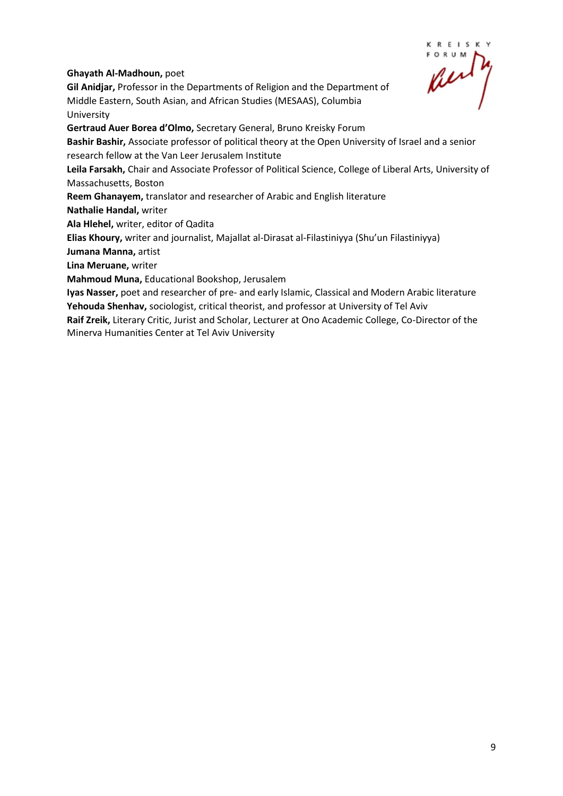**KREISK** 

# **Ghayath Al-Madhoun,** poet

**Gil Anidjar,** Professor in the Departments of Religion and the Department of Middle Eastern, South Asian, and African Studies (MESAAS), Columbia University

**Gertraud Auer Borea d'Olmo,** Secretary General, Bruno Kreisky Forum

**Bashir Bashir,** Associate professor of political theory at the Open University of Israel and a senior research fellow at the Van Leer Jerusalem Institute

**Leila Farsakh,** Chair and Associate Professor of Political Science, College of Liberal Arts, University of Massachusetts, Boston

**Reem Ghanayem,** translator and researcher of Arabic and English literature

**Nathalie Handal,** writer

**Ala Hlehel,** writer, editor of Qadita

**Elias Khoury,** writer and journalist, Majallat al-Dirasat al-Filastiniyya (Shu'un Filastiniyya)

**Jumana Manna,** artist

**Lina Meruane,** writer

**Mahmoud Muna,** Educational Bookshop, Jerusalem

**Iyas Nasser,** poet and researcher of pre- and early Islamic, Classical and Modern Arabic literature **Yehouda Shenhav,** sociologist, critical theorist, and professor at University of Tel Aviv

**Raif Zreik,** Literary Critic, Jurist and Scholar, Lecturer at Ono Academic College, Co-Director of the Minerva Humanities Center at Tel Aviv University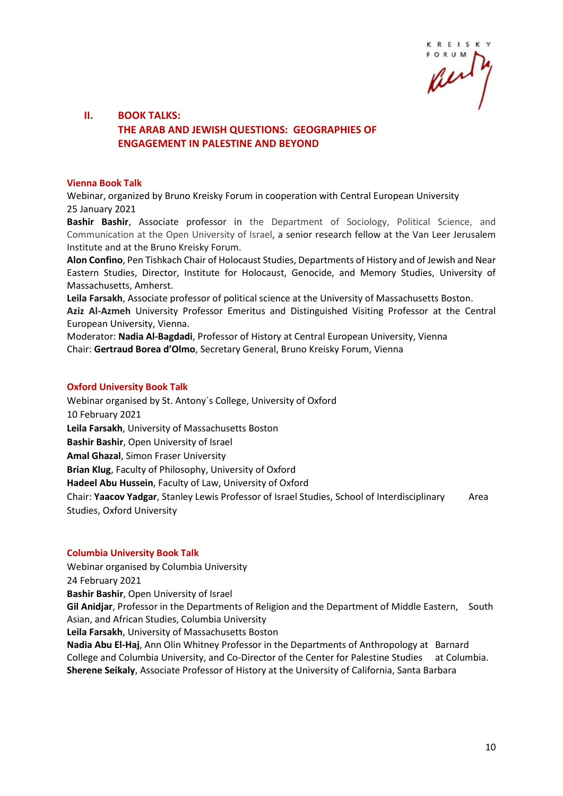R E I S K

# **II. BOOK TALKS: THE ARAB AND JEWISH QUESTIONS: GEOGRAPHIES OF ENGAGEMENT IN PALESTINE AND BEYOND**

#### **Vienna Book Talk**

Webinar, organized by Bruno Kreisky Forum in cooperation with Central European University 25 January 2021

**Bashir Bashir**, Associate professor in the Department of Sociology, Political Science, and Communication at the Open University of Israel, a senior research fellow at the Van Leer Jerusalem Institute and at the Bruno Kreisky Forum.

**Alon Confino**, Pen Tishkach Chair of Holocaust Studies, Departments of History and of Jewish and Near Eastern Studies, Director, Institute for Holocaust, Genocide, and Memory Studies, University of Massachusetts, Amherst.

**Leila Farsakh**, Associate professor of political science at the University of Massachusetts Boston.

**Aziz Al-Azmeh** University Professor Emeritus and Distinguished Visiting Professor at the Central European University, Vienna.

Moderator: **Nadia Al-Bagdadi**, Professor of History at Central European University, Vienna Chair: **Gertraud Borea d'Olmo**, Secretary General, Bruno Kreisky Forum, Vienna

#### **Oxford University Book Talk**

Webinar organised by St. Antony´s College, University of Oxford 10 February 2021 **Leila Farsakh**, University of Massachusetts Boston **Bashir Bashir**, Open University of Israel **Amal Ghazal**, Simon Fraser University **Brian Klug**, Faculty of Philosophy, University of Oxford **Hadeel Abu Hussein**, Faculty of Law, University of Oxford Chair: **Yaacov Yadgar**, Stanley Lewis Professor of Israel Studies, School of Interdisciplinary Area Studies, Oxford University

#### **Columbia University Book Talk**

Webinar organised by Columbia University

24 February 2021

**Bashir Bashir**, Open University of Israel

**Gil Anidjar**, Professor in the Departments of Religion and the Department of Middle Eastern, South Asian, and African Studies, Columbia University

**Leila Farsakh**, University of Massachusetts Boston

**Nadia Abu El-Haj**, Ann Olin Whitney Professor in the Departments of Anthropology at Barnard College and Columbia University, and Co-Director of the Center for Palestine Studies at Columbia. **Sherene Seikaly**, Associate Professor of History at the University of California, Santa Barbara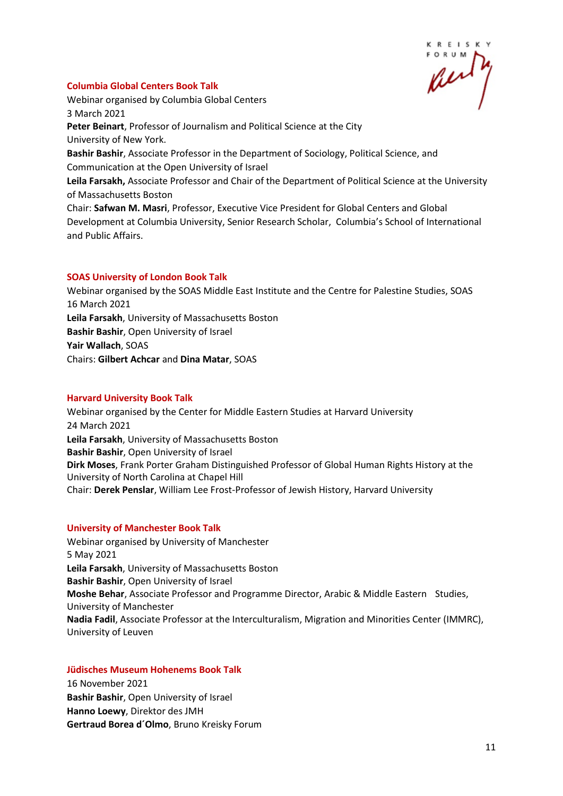# KREISK

### **Columbia Global Centers Book Talk**

Webinar organised by Columbia Global Centers 3 March 2021 **Peter Beinart**, Professor of Journalism and Political Science at the City University of New York. **Bashir Bashir**, Associate Professor in the Department of Sociology, Political Science, and Communication at the Open University of Israel **Leila Farsakh,** Associate Professor and Chair of the Department of Political Science at the University of Massachusetts Boston Chair: **Safwan M. Masri**, Professor, Executive Vice President for Global Centers and Global Development at Columbia University, Senior Research Scholar, Columbia's School of International and Public Affairs.

# **SOAS University of London Book Talk**

Webinar organised by the SOAS Middle East Institute and the Centre for Palestine Studies, SOAS 16 March 2021 **Leila Farsakh**, University of Massachusetts Boston **Bashir Bashir**, Open University of Israel **Yair Wallach**, SOAS Chairs: **Gilbert Achcar** and **Dina Matar**, SOAS

#### **Harvard University Book Talk**

Webinar organised by the Center for Middle Eastern Studies at Harvard University 24 March 2021 **Leila Farsakh**, University of Massachusetts Boston **Bashir Bashir**, Open University of Israel **Dirk Moses**, Frank Porter Graham Distinguished Professor of Global Human Rights History at the University of North Carolina at Chapel Hill Chair: **Derek Penslar**, William Lee Frost-Professor of Jewish History, Harvard University

#### **University of Manchester Book Talk**

Webinar organised by University of Manchester 5 May 2021 **Leila Farsakh**, University of Massachusetts Boston **Bashir Bashir**, Open University of Israel **Moshe Behar**, Associate Professor and Programme Director, Arabic & Middle Eastern Studies, University of Manchester **Nadia Fadil**, Associate Professor at the Interculturalism, Migration and Minorities Center (IMMRC), University of Leuven

# **Jüdisches Museum Hohenems Book Talk**

16 November 2021 **Bashir Bashir**, Open University of Israel **Hanno Loewy**, Direktor des JMH **Gertraud Borea d´Olmo**, Bruno Kreisky Forum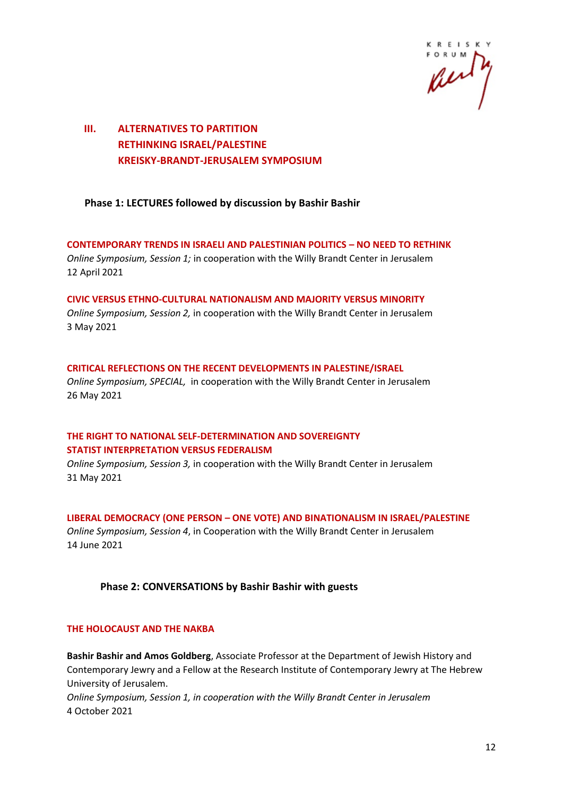

# **III. ALTERNATIVES TO PARTITION RETHINKING ISRAEL/PALESTINE KREISKY-BRANDT-JERUSALEM SYMPOSIUM**

# **Phase 1: LECTURES followed by discussion by Bashir Bashir**

**CONTEMPORARY TRENDS IN ISRAELI AND PALESTINIAN POLITICS – NO NEED TO RETHINK** *Online Symposium, Session 1;* in cooperation with the Willy Brandt Center in Jerusalem 12 April 2021

**CIVIC VERSUS ETHNO-CULTURAL NATIONALISM AND MAJORITY VERSUS MINORITY** *Online Symposium, Session 2,* in cooperation with the Willy Brandt Center in Jerusalem 3 May 2021

# **CRITICAL REFLECTIONS ON THE RECENT DEVELOPMENTS IN PALESTINE/ISRAEL**

*Online Symposium, SPECIAL,* in cooperation with the Willy Brandt Center in Jerusalem 26 May 2021

# **THE RIGHT TO NATIONAL SELF-DETERMINATION AND SOVEREIGNTY STATIST INTERPRETATION VERSUS FEDERALISM**

*Online Symposium, Session 3,* in cooperation with the Willy Brandt Center in Jerusalem 31 May 2021

#### **LIBERAL DEMOCRACY (ONE PERSON – ONE VOTE) AND BINATIONALISM IN ISRAEL/PALESTINE**

*Online Symposium, Session 4*, in Cooperation with the Willy Brandt Center in Jerusalem 14 June 2021

# **Phase 2: CONVERSATIONS by Bashir Bashir with guests**

#### **THE HOLOCAUST AND THE NAKBA**

**Bashir Bashir and Amos Goldberg**, Associate Professor at the Department of Jewish History and Contemporary Jewry and a Fellow at the Research Institute of Contemporary Jewry at The Hebrew University of Jerusalem.

*Online Symposium, Session 1, in cooperation with the Willy Brandt Center in Jerusalem* 4 October 2021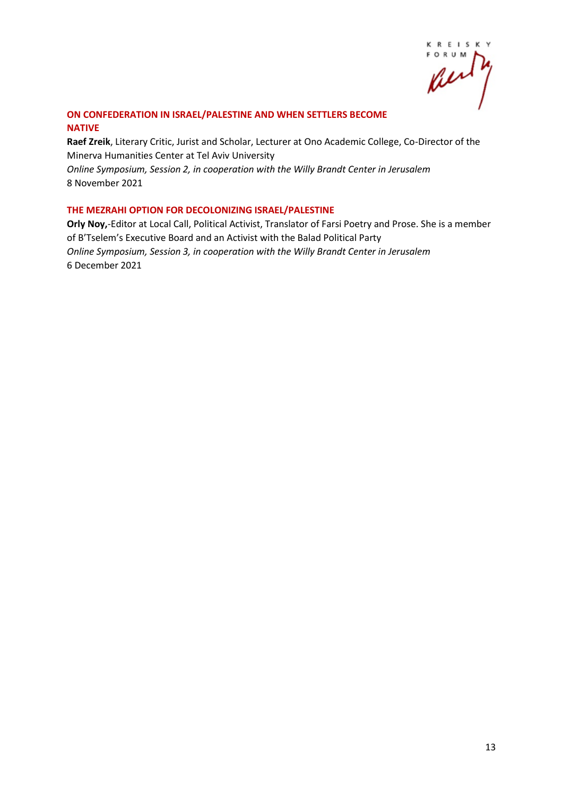K R E I S K Y **FORUM** fu

#### **ON CONFEDERATION IN ISRAEL/PALESTINE AND WHEN SETTLERS BECOME NATIVE**

**Raef Zreik**, Literary Critic, Jurist and Scholar, Lecturer at Ono Academic College, Co-Director of the Minerva Humanities Center at Tel Aviv University *Online Symposium, Session 2, in cooperation with the Willy Brandt Center in Jerusalem* 8 November 2021

#### **THE MEZRAHI OPTION FOR DECOLONIZING ISRAEL/PALESTINE**

**Orly Noy,**-Editor at Local Call, Political Activist, Translator of Farsi Poetry and Prose. She is a member of B'Tselem's Executive Board and an Activist with the Balad Political Party *Online Symposium, Session 3, in cooperation with the Willy Brandt Center in Jerusalem* 6 December 2021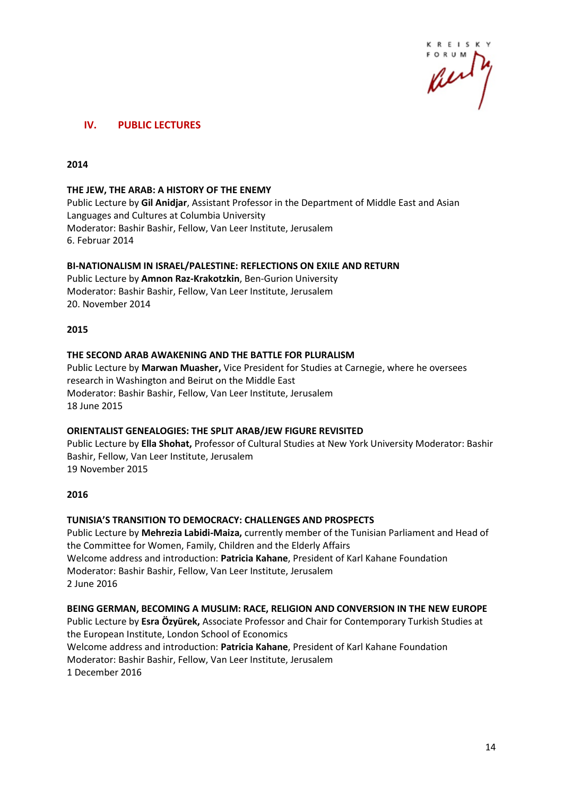

# **IV. PUBLIC LECTURES**

#### **2014**

#### **THE JEW, THE ARAB: A HISTORY OF THE ENEMY**

Public Lecture by **Gil Anidjar**, Assistant Professor in the Department of Middle East and Asian Languages and Cultures at Columbia University Moderator: Bashir Bashir, Fellow, Van Leer Institute, Jerusalem 6. Februar 2014

#### **BI-NATIONALISM IN ISRAEL/PALESTINE: REFLECTIONS ON EXILE AND RETURN**

Public Lecture by **Amnon Raz-Krakotzkin**, Ben-Gurion University Moderator: Bashir Bashir, Fellow, Van Leer Institute, Jerusalem 20. November 2014

#### **2015**

#### **THE SECOND ARAB AWAKENING AND THE BATTLE FOR PLURALISM**

Public Lecture by **Marwan Muasher,** Vice President for Studies at Carnegie, where he oversees research in Washington and Beirut on the Middle East Moderator: Bashir Bashir, Fellow, Van Leer Institute, Jerusalem 18 June 2015

#### **ORIENTALIST GENEALOGIES: THE SPLIT ARAB/JEW FIGURE REVISITED**

Public Lecture by **Ella Shohat,** Professor of Cultural Studies at New York University Moderator: Bashir Bashir, Fellow, Van Leer Institute, Jerusalem 19 November 2015

#### **2016**

# **TUNISIA'S TRANSITION TO DEMOCRACY: CHALLENGES AND PROSPECTS**

Public Lecture by **Mehrezia Labidi-Maiza,** currently member of the Tunisian Parliament and Head of the Committee for Women, Family, Children and the Elderly Affairs Welcome address and introduction: **Patricia Kahane**, President of Karl Kahane Foundation Moderator: Bashir Bashir, Fellow, Van Leer Institute, Jerusalem 2 June 2016

#### **BEING GERMAN, BECOMING A MUSLIM: RACE, RELIGION AND CONVERSION IN THE NEW EUROPE**

Public Lecture by **Esra Özyürek,** Associate Professor and Chair for Contemporary Turkish Studies at the European Institute, London School of Economics Welcome address and introduction: **Patricia Kahane**, President of Karl Kahane Foundation Moderator: Bashir Bashir, Fellow, Van Leer Institute, Jerusalem 1 December 2016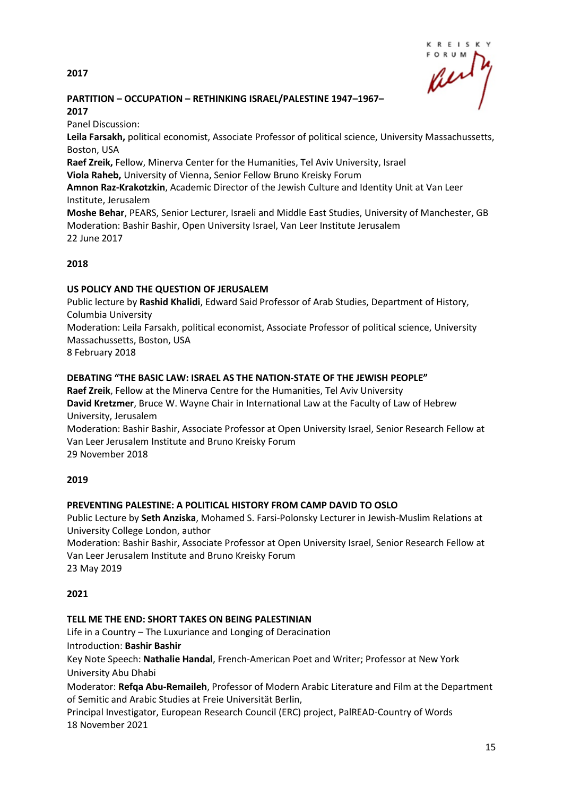**2017**



# **PARTITION – OCCUPATION – RETHINKING ISRAEL/PALESTINE 1947–1967– 2017**

Panel Discussion:

**Leila Farsakh,** political economist, Associate Professor of political science, University Massachussetts, Boston, USA

**Raef Zreik,** Fellow, Minerva Center for the Humanities, Tel Aviv University, Israel **Viola Raheb,** University of Vienna, Senior Fellow Bruno Kreisky Forum

**Amnon Raz-Krakotzkin**, Academic Director of the Jewish Culture and Identity Unit at Van Leer Institute, Jerusalem

**Moshe Behar**, PEARS, Senior Lecturer, Israeli and Middle East Studies, University of Manchester, GB Moderation: Bashir Bashir, Open University Israel, Van Leer Institute Jerusalem 22 June 2017

# **2018**

# **US POLICY AND THE QUESTION OF JERUSALEM**

Public lecture by **Rashid Khalidi**, Edward Said Professor of Arab Studies, Department of History, Columbia University

Moderation: Leila Farsakh, political economist, Associate Professor of political science, University Massachussetts, Boston, USA

8 February 2018

# **DEBATING "THE BASIC LAW: ISRAEL AS THE NATION-STATE OF THE JEWISH PEOPLE"**

**Raef Zreik**, Fellow at the Minerva Centre for the Humanities, Tel Aviv University **David Kretzmer**, Bruce W. Wayne Chair in International Law at the Faculty of Law of Hebrew University, Jerusalem

Moderation: Bashir Bashir, Associate Professor at Open University Israel, Senior Research Fellow at Van Leer Jerusalem Institute and Bruno Kreisky Forum

29 November 2018

# **2019**

# **PREVENTING PALESTINE: A POLITICAL HISTORY FROM CAMP DAVID TO OSLO**

Public Lecture by **Seth Anziska**, Mohamed S. Farsi-Polonsky Lecturer in Jewish-Muslim Relations at University College London, author

Moderation: Bashir Bashir, Associate Professor at Open University Israel, Senior Research Fellow at Van Leer Jerusalem Institute and Bruno Kreisky Forum 23 May 2019

**2021**

# **TELL ME THE END: SHORT TAKES ON BEING PALESTINIAN**

Life in a Country – The Luxuriance and Longing of Deracination

Introduction: **Bashir Bashir**

Key Note Speech: **Nathalie Handal**, French-American Poet and Writer; Professor at New York University Abu Dhabi

Moderator: **Refqa Abu-Remaileh**, Professor of Modern Arabic Literature and Film at the Department of Semitic and Arabic Studies at Freie Universität Berlin,

Principal Investigator, European Research Council (ERC) project, PalREAD-Country of Words 18 November 2021